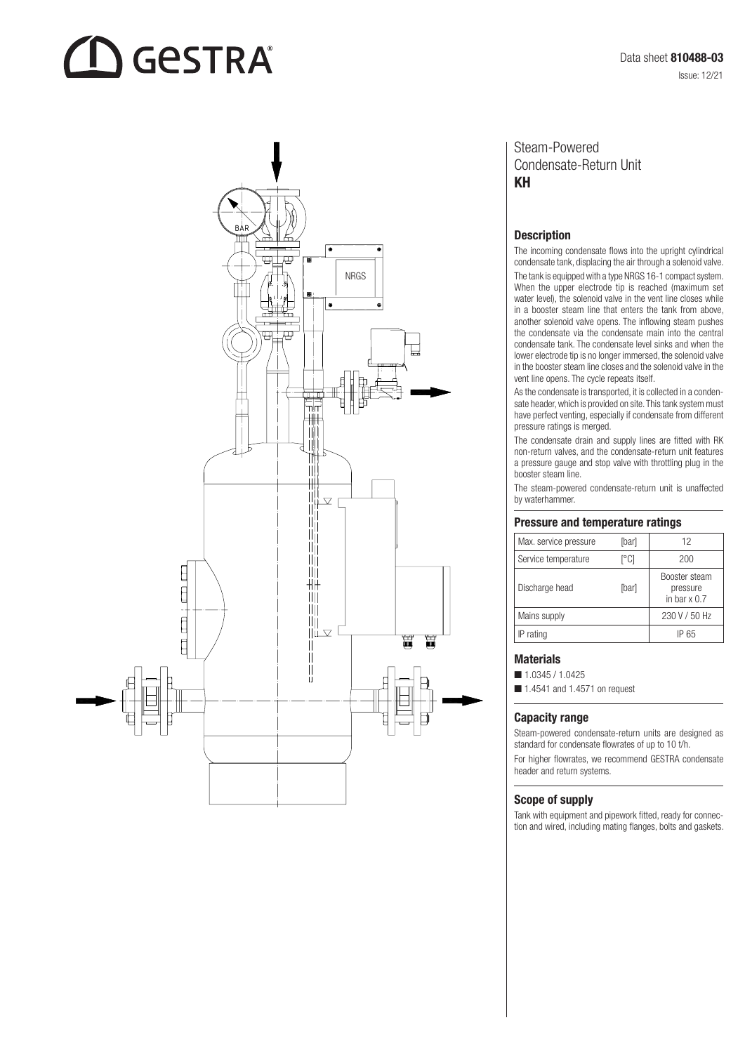# **GESTRA**



### Steam-Powered Condensate-Return Unit KH

#### **Description**

The incoming condensate flows into the upright cylindrical condensate tank, displacing the air through a solenoid valve. The tank is equipped with a type NRGS 16-1 compact system. When the upper electrode tip is reached (maximum set water level), the solenoid valve in the vent line closes while in a booster steam line that enters the tank from above, another solenoid valve opens. The inflowing steam pushes the condensate via the condensate main into the central condensate tank. The condensate level sinks and when the lower electrode tip is no longer immersed, the solenoid valve in the booster steam line closes and the solenoid valve in the vent line opens. The cycle repeats itself.

As the condensate is transported, it is collected in a conden sate header, which is provided on site. This tank system must have perfect venting, especially if condensate from different pressure ratings is merged.

The condensate drain and supply lines are fitted with RK non-return valves, and the condensate-return unit features a pressure gauge and stop valve with throttling plug in the booster steam line.

The steam-powered condensate-return unit is unaffected by waterhammer.

#### Pressure and temperature ratings

| Max. service pressure | [bar] | 12                                               |
|-----------------------|-------|--------------------------------------------------|
| Service temperature   | r°Ci  | 200                                              |
| Discharge head        | [bar] | Booster steam<br>pressure<br>in bar $\times$ 0.7 |
| Mains supply          |       | 230 V / 50 Hz                                    |
| IP rating             |       | IP 65                                            |

#### **Materials**

 $1.0345 / 1.0425$ 

 $\blacksquare$  1.4541 and 1.4571 on request

#### Capacity range

Steam-powered condensate-return units are designed as standard for condensate flowrates of up to 10 t/h.

For higher flowrates, we recommend GESTRA condensate header and return systems.

#### Scope of supply

Tank with equipment and pipework fitted, ready for connec tion and wired, including mating flanges, bolts and gaskets.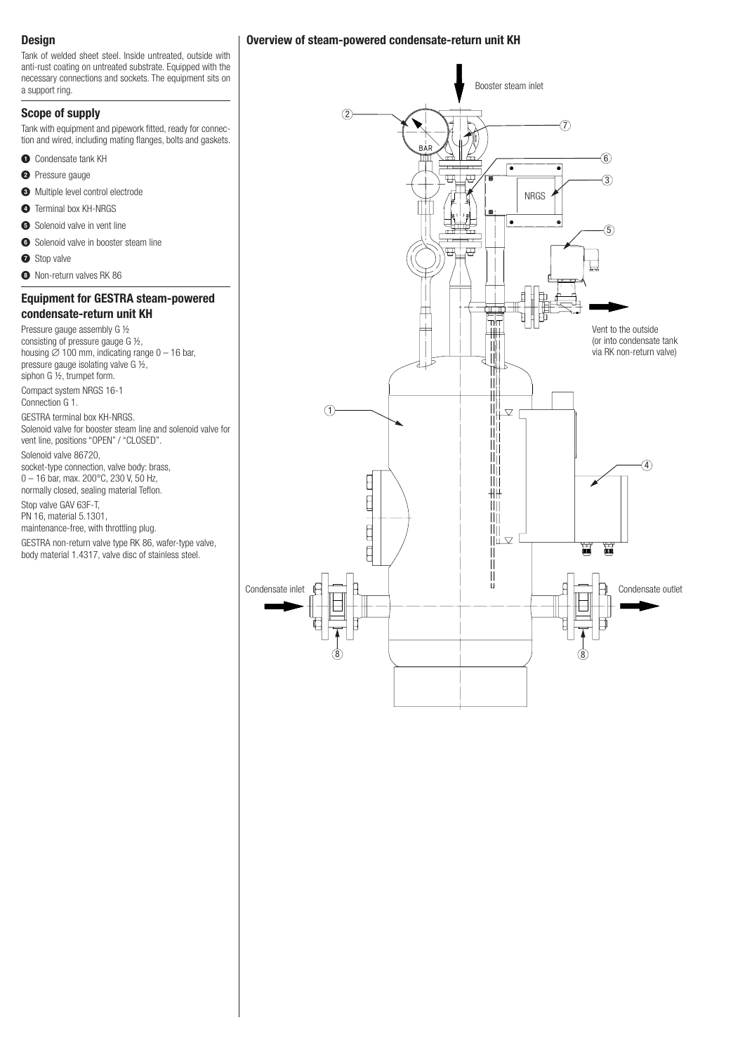#### **Design**

Tank of welded sheet steel. Inside untreated, outside with anti-rust coating on untreated substrate. Equipped with the necessary connections and sockets. The equipment sits on a support ring.

#### Scope of supply

Tank with equipment and pipework fitted, ready for connection and wired, including mating flanges, bolts and gaskets.

- **O** Condensate tank KH
- <sup>2</sup> Pressure gauge
- $\bigodot$  Multiple level control electrode
- **4** Terminal box KH-NRGS
- **6** Solenoid valve in vent line
- **6** Solenoid valve in booster steam line
- **O** Stop valve
- <sup>8</sup> Non-return valves RK 86

#### Equipment for GESTRA steam-powered condensate-return unit KH

Pressure gauge assembly G ½ consisting of pressure gauge G ½, housing  $\varnothing$  100 mm, indicating range 0 – 16 bar, pressure gauge isolating valve G ½, siphon G ½, trumpet form.

Compact system NRGS 16-1

Connection G 1.

GESTRA terminal box KH-NRGS. Solenoid valve for booster steam line and solenoid valve for vent line, positions "OPEN" / "CLOSED".

Solenoid valve 86720,

socket-type connection, valve body: brass, 0 – 16 bar, max. 200°C, 230 V, 50 Hz, normally closed, sealing material Teflon.

Stop valve GAV 63F-T,

PN 16, material 5.1301,

maintenance-free, with throttling plug.

GESTRA non-return valve type RK 86, wafer-type valve, body material 1.4317, valve disc of stainless steel.

#### Overview of steam-powered condensate-return unit KH